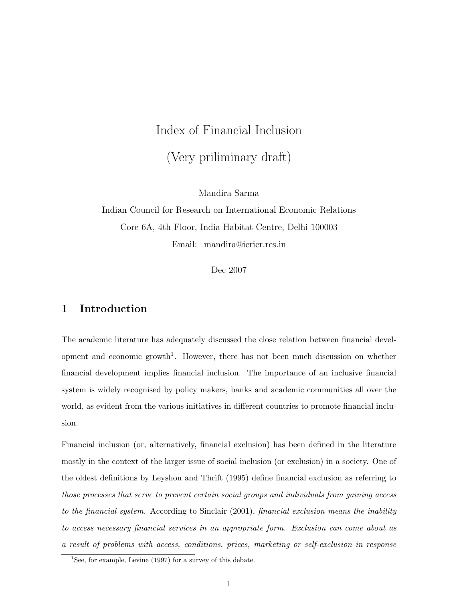# Index of Financial Inclusion (Very priliminary draft)

Mandira Sarma

Indian Council for Research on International Economic Relations Core 6A, 4th Floor, India Habitat Centre, Delhi 100003 Email: mandira@icrier.res.in

Dec 2007

## 1 Introduction

The academic literature has adequately discussed the close relation between financial development and economic growth<sup>1</sup>. However, there has not been much discussion on whether financial development implies financial inclusion. The importance of an inclusive financial system is widely recognised by policy makers, banks and academic communities all over the world, as evident from the various initiatives in different countries to promote financial inclusion.

Financial inclusion (or, alternatively, financial exclusion) has been defined in the literature mostly in the context of the larger issue of social inclusion (or exclusion) in a society. One of the oldest definitions by Leyshon and Thrift (1995) define financial exclusion as referring to those processes that serve to prevent certain social groups and individuals from gaining access to the financial system. According to Sinclair (2001), financial exclusion means the inability to access necessary financial services in an appropriate form. Exclusion can come about as a result of problems with access, conditions, prices, marketing or self-exclusion in response

<sup>&</sup>lt;sup>1</sup>See, for example, Levine  $(1997)$  for a survey of this debate.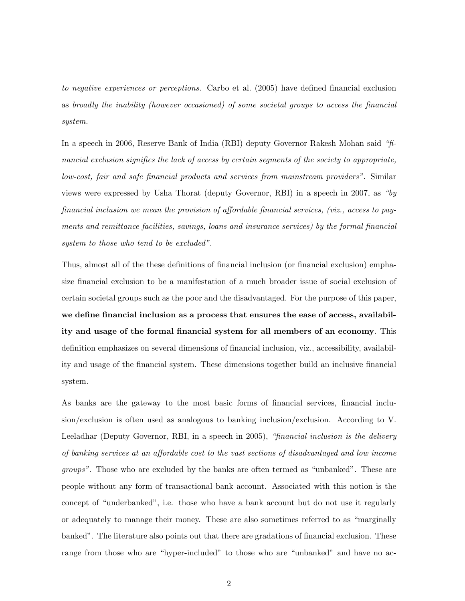to negative experiences or perceptions. Carbo et al. (2005) have defined financial exclusion as broadly the inability (however occasioned) of some societal groups to access the financial system.

In a speech in 2006, Reserve Bank of India (RBI) deputy Governor Rakesh Mohan said "financial exclusion signifies the lack of access by certain segments of the society to appropriate, low-cost, fair and safe financial products and services from mainstream providers". Similar views were expressed by Usha Thorat (deputy Governor, RBI) in a speech in 2007, as "by financial inclusion we mean the provision of affordable financial services, (viz., access to payments and remittance facilities, savings, loans and insurance services) by the formal financial system to those who tend to be excluded".

Thus, almost all of the these definitions of financial inclusion (or financial exclusion) emphasize financial exclusion to be a manifestation of a much broader issue of social exclusion of certain societal groups such as the poor and the disadvantaged. For the purpose of this paper, we define financial inclusion as a process that ensures the ease of access, availability and usage of the formal financial system for all members of an economy. This definition emphasizes on several dimensions of financial inclusion, viz., accessibility, availability and usage of the financial system. These dimensions together build an inclusive financial system.

As banks are the gateway to the most basic forms of financial services, financial inclusion/exclusion is often used as analogous to banking inclusion/exclusion. According to V. Leeladhar (Deputy Governor, RBI, in a speech in 2005), "financial inclusion is the delivery of banking services at an affordable cost to the vast sections of disadvantaged and low income *groups*". Those who are excluded by the banks are often termed as "unbanked". These are people without any form of transactional bank account. Associated with this notion is the concept of "underbanked", i.e. those who have a bank account but do not use it regularly or adequately to manage their money. These are also sometimes referred to as "marginally banked". The literature also points out that there are gradations of financial exclusion. These range from those who are "hyper-included" to those who are "unbanked" and have no ac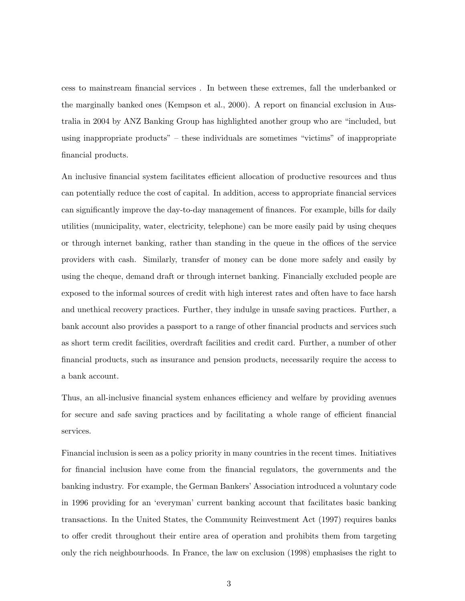cess to mainstream financial services . In between these extremes, fall the underbanked or the marginally banked ones (Kempson et al., 2000). A report on financial exclusion in Australia in 2004 by ANZ Banking Group has highlighted another group who are "included, but using inappropriate products" – these individuals are sometimes "victims" of inappropriate financial products.

An inclusive financial system facilitates efficient allocation of productive resources and thus can potentially reduce the cost of capital. In addition, access to appropriate financial services can significantly improve the day-to-day management of finances. For example, bills for daily utilities (municipality, water, electricity, telephone) can be more easily paid by using cheques or through internet banking, rather than standing in the queue in the offices of the service providers with cash. Similarly, transfer of money can be done more safely and easily by using the cheque, demand draft or through internet banking. Financially excluded people are exposed to the informal sources of credit with high interest rates and often have to face harsh and unethical recovery practices. Further, they indulge in unsafe saving practices. Further, a bank account also provides a passport to a range of other financial products and services such as short term credit facilities, overdraft facilities and credit card. Further, a number of other financial products, such as insurance and pension products, necessarily require the access to a bank account.

Thus, an all-inclusive financial system enhances efficiency and welfare by providing avenues for secure and safe saving practices and by facilitating a whole range of efficient financial services.

Financial inclusion is seen as a policy priority in many countries in the recent times. Initiatives for financial inclusion have come from the financial regulators, the governments and the banking industry. For example, the German Bankers' Association introduced a voluntary code in 1996 providing for an 'everyman' current banking account that facilitates basic banking transactions. In the United States, the Community Reinvestment Act (1997) requires banks to offer credit throughout their entire area of operation and prohibits them from targeting only the rich neighbourhoods. In France, the law on exclusion (1998) emphasises the right to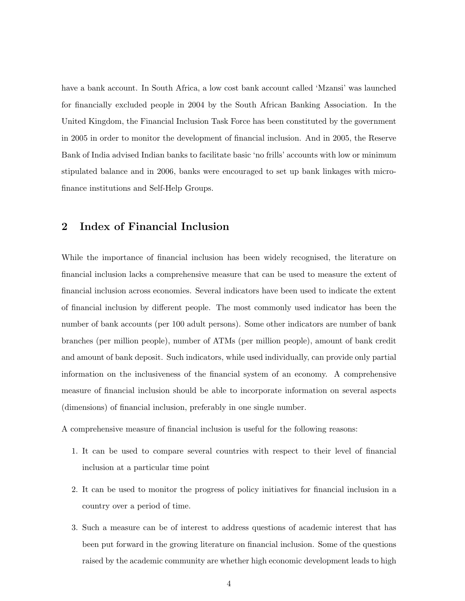have a bank account. In South Africa, a low cost bank account called 'Mzansi' was launched for financially excluded people in 2004 by the South African Banking Association. In the United Kingdom, the Financial Inclusion Task Force has been constituted by the government in 2005 in order to monitor the development of financial inclusion. And in 2005, the Reserve Bank of India advised Indian banks to facilitate basic 'no frills' accounts with low or minimum stipulated balance and in 2006, banks were encouraged to set up bank linkages with microfinance institutions and Self-Help Groups.

## 2 Index of Financial Inclusion

While the importance of financial inclusion has been widely recognised, the literature on financial inclusion lacks a comprehensive measure that can be used to measure the extent of financial inclusion across economies. Several indicators have been used to indicate the extent of financial inclusion by different people. The most commonly used indicator has been the number of bank accounts (per 100 adult persons). Some other indicators are number of bank branches (per million people), number of ATMs (per million people), amount of bank credit and amount of bank deposit. Such indicators, while used individually, can provide only partial information on the inclusiveness of the financial system of an economy. A comprehensive measure of financial inclusion should be able to incorporate information on several aspects (dimensions) of financial inclusion, preferably in one single number.

A comprehensive measure of financial inclusion is useful for the following reasons:

- 1. It can be used to compare several countries with respect to their level of financial inclusion at a particular time point
- 2. It can be used to monitor the progress of policy initiatives for financial inclusion in a country over a period of time.
- 3. Such a measure can be of interest to address questions of academic interest that has been put forward in the growing literature on financial inclusion. Some of the questions raised by the academic community are whether high economic development leads to high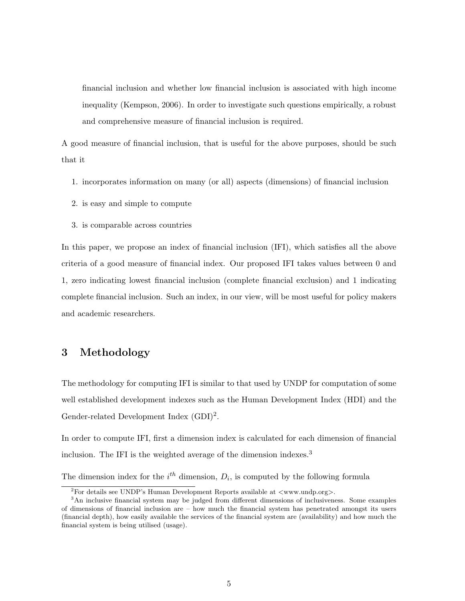financial inclusion and whether low financial inclusion is associated with high income inequality (Kempson, 2006). In order to investigate such questions empirically, a robust and comprehensive measure of financial inclusion is required.

A good measure of financial inclusion, that is useful for the above purposes, should be such that it

- 1. incorporates information on many (or all) aspects (dimensions) of financial inclusion
- 2. is easy and simple to compute
- 3. is comparable across countries

In this paper, we propose an index of financial inclusion (IFI), which satisfies all the above criteria of a good measure of financial index. Our proposed IFI takes values between 0 and 1, zero indicating lowest financial inclusion (complete financial exclusion) and 1 indicating complete financial inclusion. Such an index, in our view, will be most useful for policy makers and academic researchers.

### 3 Methodology

The methodology for computing IFI is similar to that used by UNDP for computation of some well established development indexes such as the Human Development Index (HDI) and the Gender-related Development Index  $(GDI)^2$ .

In order to compute IFI, first a dimension index is calculated for each dimension of financial inclusion. The IFI is the weighted average of the dimension indexes.<sup>3</sup>

The dimension index for the  $i<sup>th</sup>$  dimension,  $D_i$ , is computed by the following formula

<sup>&</sup>lt;sup>2</sup>For details see UNDP's Human Development Reports available at  $\langle$ www.undp.org>.

<sup>3</sup>An inclusive financial system may be judged from different dimensions of inclusiveness. Some examples of dimensions of financial inclusion are – how much the financial system has penetrated amongst its users (financial depth), how easily available the services of the financial system are (availability) and how much the financial system is being utilised (usage).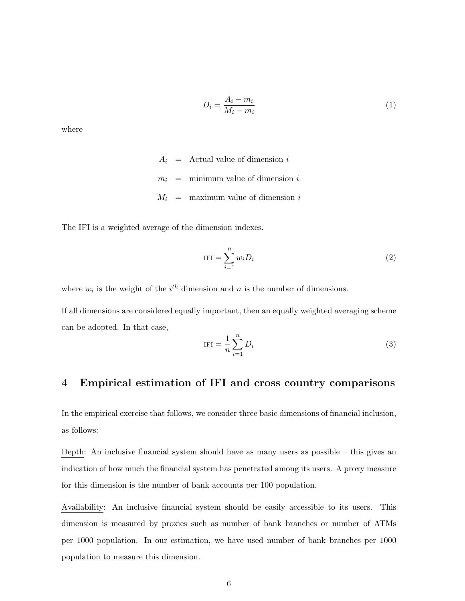$$
D_i = \frac{A_i - m_i}{M_i - m_i} \tag{1}
$$

where

 $A_i$  = Actual value of dimension i  $m_i$  = minimum value of dimension i  $M_i$  = maximum value of dimension i

The IFI is a weighted average of the dimension indexes.

$$
IFI = \sum_{i=1}^{n} w_i D_i \tag{2}
$$

where  $w_i$  is the weight of the  $i^{th}$  dimension and n is the number of dimensions.

If all dimensions are considered equally important, then an equally weighted averaging scheme can be adopted. In that case,

$$
IFI = \frac{1}{n} \sum_{i=1}^{n} D_i
$$
\n
$$
(3)
$$

## 4 Empirical estimation of IFI and cross country comparisons

In the empirical exercise that follows, we consider three basic dimensions of financial inclusion, as follows:

Depth: An inclusive financial system should have as many users as possible – this gives an indication of how much the financial system has penetrated among its users. A proxy measure for this dimension is the number of bank accounts per 100 population.

Availability: An inclusive financial system should be easily accessible to its users. This dimension is measured by proxies such as number of bank branches or number of ATMs per 1000 population. In our estimation, we have used number of bank branches per 1000 population to measure this dimension.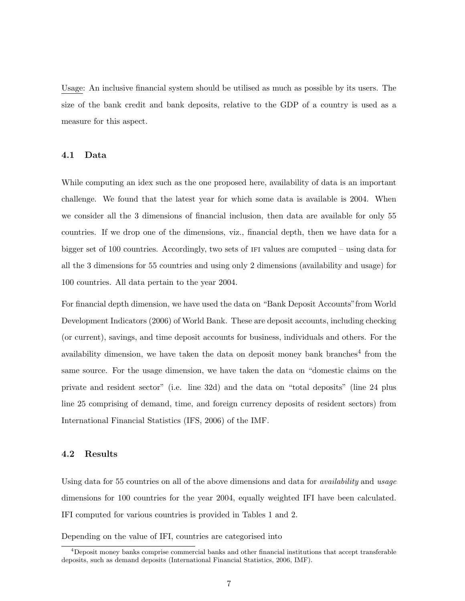Usage: An inclusive financial system should be utilised as much as possible by its users. The size of the bank credit and bank deposits, relative to the GDP of a country is used as a measure for this aspect.

#### 4.1 Data

While computing an idex such as the one proposed here, availability of data is an important challenge. We found that the latest year for which some data is available is 2004. When we consider all the 3 dimensions of financial inclusion, then data are available for only 55 countries. If we drop one of the dimensions, viz., financial depth, then we have data for a bigger set of 100 countries. Accordingly, two sets of ifi values are computed – using data for all the 3 dimensions for 55 countries and using only 2 dimensions (availability and usage) for 100 countries. All data pertain to the year 2004.

For financial depth dimension, we have used the data on "Bank Deposit Accounts"from World Development Indicators (2006) of World Bank. These are deposit accounts, including checking (or current), savings, and time deposit accounts for business, individuals and others. For the availability dimension, we have taken the data on deposit money bank branches<sup>4</sup> from the same source. For the usage dimension, we have taken the data on "domestic claims on the private and resident sector" (i.e. line 32d) and the data on "total deposits" (line 24 plus line 25 comprising of demand, time, and foreign currency deposits of resident sectors) from International Financial Statistics (IFS, 2006) of the IMF.

#### 4.2 Results

Using data for 55 countries on all of the above dimensions and data for availability and usage dimensions for 100 countries for the year 2004, equally weighted IFI have been calculated. IFI computed for various countries is provided in Tables 1 and 2.

Depending on the value of IFI, countries are categorised into

 $^{4}$ Deposit money banks comprise commercial banks and other financial institutions that accept transferable deposits, such as demand deposits (International Financial Statistics, 2006, IMF).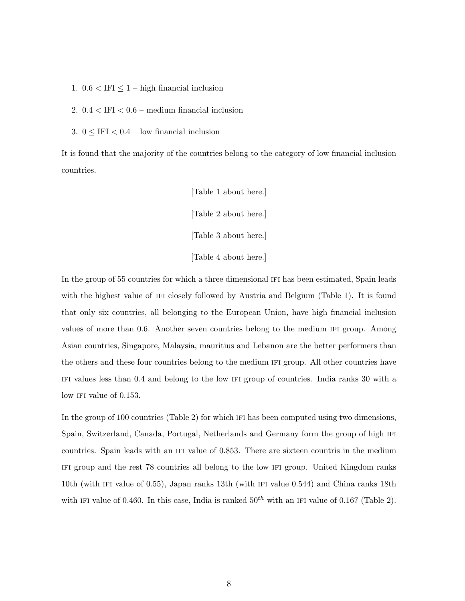- 1.  $0.6 < IFI \leq 1$  high financial inclusion
- 2.  $0.4 < IFI < 0.6$  medium financial inclusion
- 3.  $0 \leq \text{IFI} < 0.4$  low financial inclusion

It is found that the majority of the countries belong to the category of low financial inclusion countries.

> [Table 1 about here.] [Table 2 about here.] [Table 3 about here.] [Table 4 about here.]

In the group of 55 countries for which a three dimensional IFI has been estimated, Spain leads with the highest value of IFI closely followed by Austria and Belgium (Table 1). It is found that only six countries, all belonging to the European Union, have high financial inclusion values of more than 0.6. Another seven countries belong to the medium ifi group. Among Asian countries, Singapore, Malaysia, mauritius and Lebanon are the better performers than the others and these four countries belong to the medium ifi group. All other countries have ifi values less than 0.4 and belong to the low ifi group of countries. India ranks 30 with a low IFI value of 0.153.

In the group of 100 countries (Table 2) for which IFI has been computed using two dimensions, Spain, Switzerland, Canada, Portugal, Netherlands and Germany form the group of high ifi countries. Spain leads with an ifi value of 0.853. There are sixteen countris in the medium ifi group and the rest 78 countries all belong to the low ifi group. United Kingdom ranks 10th (with ifi value of 0.55), Japan ranks 13th (with ifi value 0.544) and China ranks 18th with IFI value of 0.460. In this case, India is ranked  $50<sup>th</sup>$  with an IFI value of 0.167 (Table 2).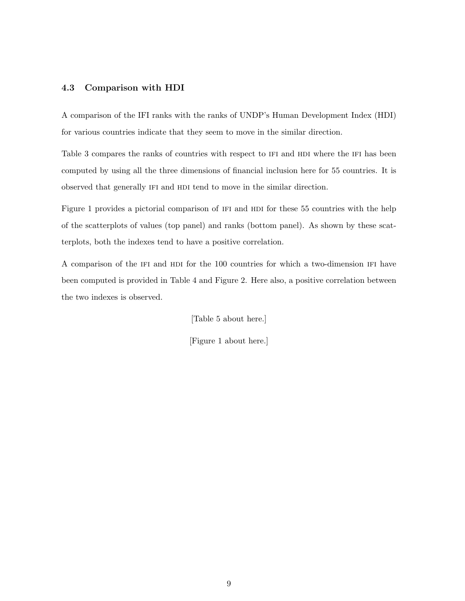#### 4.3 Comparison with HDI

A comparison of the IFI ranks with the ranks of UNDP's Human Development Index (HDI) for various countries indicate that they seem to move in the similar direction.

Table 3 compares the ranks of countries with respect to IFI and HDI where the IFI has been computed by using all the three dimensions of financial inclusion here for 55 countries. It is observed that generally IFI and HDI tend to move in the similar direction.

Figure 1 provides a pictorial comparison of IFI and HDI for these 55 countries with the help of the scatterplots of values (top panel) and ranks (bottom panel). As shown by these scatterplots, both the indexes tend to have a positive correlation.

A comparison of the IFI and HDI for the 100 countries for which a two-dimension IFI have been computed is provided in Table 4 and Figure 2. Here also, a positive correlation between the two indexes is observed.

[Table 5 about here.]

[Figure 1 about here.]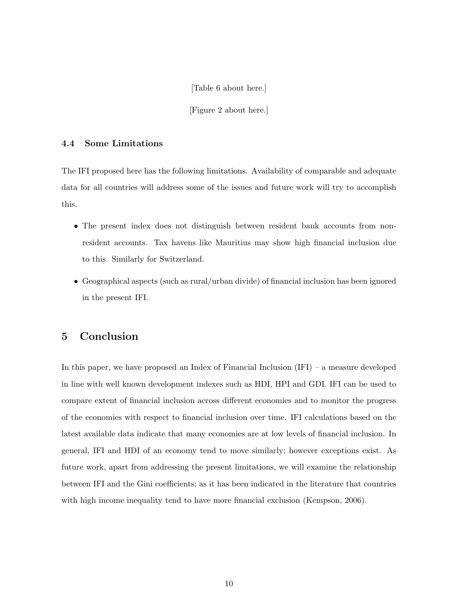[Table 6 about here.]

[Figure 2 about here.]

#### 4.4 Some Limitations

The IFI proposed here has the following limitations. Availability of comparable and adequate data for all countries will address some of the issues and future work will try to accomplish this.

- The present index does not distinguish between resident bank accounts from nonresident accounts. Tax havens like Mauritius may show high financial inclusion due to this. Similarly for Switzerland.
- Geographical aspects (such as rural/urban divide) of financial inclusion has been ignored in the present IFI.

## 5 Conclusion

In this paper, we have proposed an Index of Financial Inclusion (IFI) – a measure developed in line with well known development indexes such as HDI, HPI and GDI. IFI can be used to compare extent of financial inclusion across different economies and to monitor the progress of the economies with respect to financial inclusion over time. IFI calculations based on the latest available data indicate that many economies are at low levels of financial inclusion. In general, IFI and HDI of an economy tend to move similarly; however exceptions exist. As future work, apart from addressing the present limitations, we will examine the relationship between IFI and the Gini coefficients; as it has been indicated in the literature that countries with high income inequality tend to have more financial exclusion (Kempson, 2006).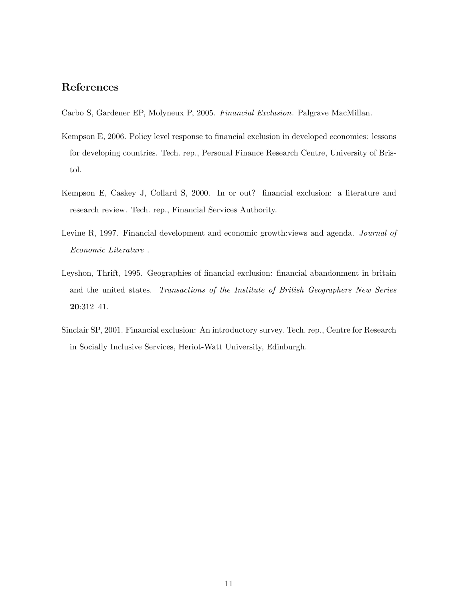## References

Carbo S, Gardener EP, Molyneux P, 2005. Financial Exclusion. Palgrave MacMillan.

- Kempson E, 2006. Policy level response to financial exclusion in developed economies: lessons for developing countries. Tech. rep., Personal Finance Research Centre, University of Bristol.
- Kempson E, Caskey J, Collard S, 2000. In or out? financial exclusion: a literature and research review. Tech. rep., Financial Services Authority.
- Levine R, 1997. Financial development and economic growth:views and agenda. *Journal of* Economic Literature .
- Leyshon, Thrift, 1995. Geographies of financial exclusion: financial abandonment in britain and the united states. Transactions of the Institute of British Geographers New Series 20:312–41.
- Sinclair SP, 2001. Financial exclusion: An introductory survey. Tech. rep., Centre for Research in Socially Inclusive Services, Heriot-Watt University, Edinburgh.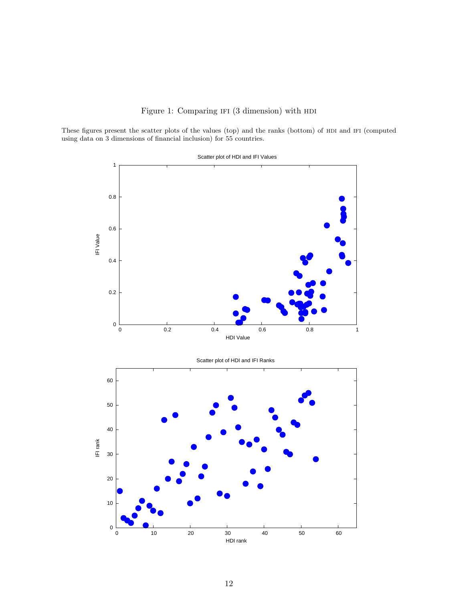

These figures present the scatter plots of the values (top) and the ranks (bottom) of HDI and IFI (computed using data on 3 dimensions of financial inclusion) for 55 countries.



Scatter plot of HDI and IFI Values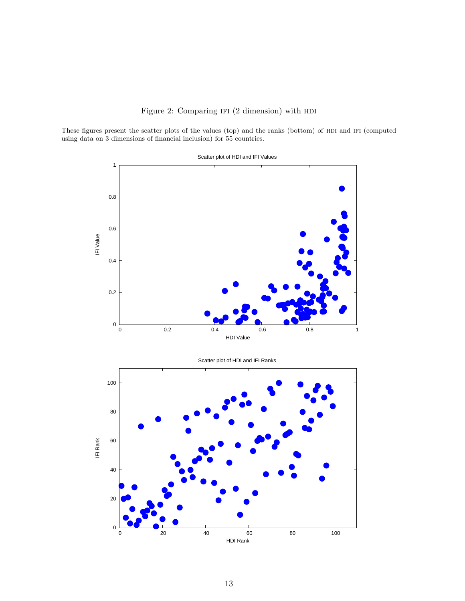

These figures present the scatter plots of the values (top) and the ranks (bottom) of HDI and IFI (computed using data on 3 dimensions of financial inclusion) for 55 countries.



Scatter plot of HDI and IFI Values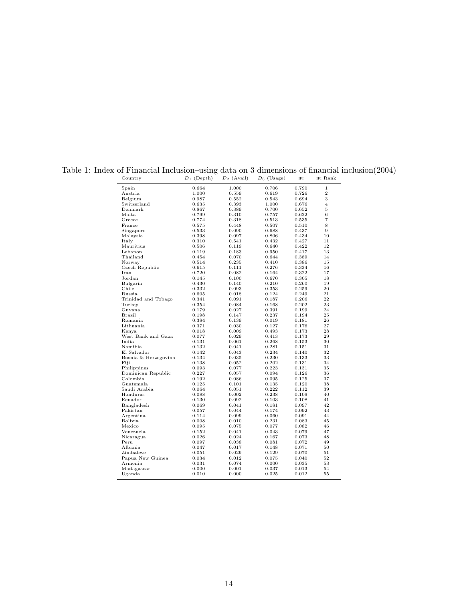| Country                  | $D_1$ (Depth)  | $D_2$ (Avail)  | $D_3$ (Usage)  | <b>IFI</b>     | IFI Rank       |
|--------------------------|----------------|----------------|----------------|----------------|----------------|
| Spain                    | 0.664          | 1.000          | 0.706          | 0.790          | $\mathbf{1}$   |
| Austria                  | 1.000          | 0.559          | 0.619          | 0.726          | $\overline{2}$ |
| Belgium                  | 0.987          | 0.552          | 0.543          | 0.694          | 3              |
| Switzerland              | 0.635          | 0.393          | 1.000          | 0.676          | $\overline{4}$ |
| Denmark                  | 0.867          | 0.389          | 0.700          | 0.652          | 5              |
| Malta                    | 0.799          | 0.310          | 0.757          | 0.622          | 6              |
| Greece                   | 0.774          | 0.318          | 0.513          | 0.535          | $\overline{7}$ |
| France                   | 0.575          | 0.448          | 0.507          | 0.510          | 8              |
| Singapore                | 0.533          | 0.090          | 0.688          | 0.437          | 9              |
| Malaysia                 | 0.398          | 0.097          | 0.806          | 0.434          | 10             |
| Italy                    | 0.310          | 0.541          | 0.432          | 0.427          | 11             |
| Mauritius                | 0.506          | 0.119          | 0.640          | 0.422          | 12             |
| Lebanon                  | 0.119          | 0.183          | 0.950          | 0.417          | 13             |
| Thailand                 | 0.454          | 0.070          | 0.644          | 0.389          | 14             |
| Norway                   | 0.514          | 0.235          | 0.410          | 0.386          | 15             |
| Czech Republic           | 0.615          | 0.111          | 0.276          | 0.334          | 16             |
| Iran                     | 0.720          | 0.082          | 0.164          | 0.322          | 17             |
| Jordan                   | 0.145          | 0.100          | 0.670          | 0.305          | 18             |
| Bulgaria                 | 0.430          | 0.140          | 0.210          | 0.260          | 19             |
| Chile                    | 0.332          | 0.093          | 0.353          | 0.259          | 20             |
| Russia                   | 0.605          | 0.018          | 0.124          | 0.249          | 21             |
| Trinidad and Tobago      | 0.341          | 0.091          | 0.187          | 0.206          | 22             |
| Turkey                   | 0.354          | 0.084          | 0.168          | 0.202          | 23             |
| Guyana                   | 0.179          | 0.027          | 0.391          | 0.199          | 24             |
| Brazil                   | 0.198          | 0.147          | 0.237          | 0.194          | 25             |
| Romania                  | 0.384          | 0.139          | 0.019          | 0.181          | 26             |
| Lithuania                | 0.371          | $_{0.030}$     | 0.127          | 0.176          | 27             |
| Kenya                    | 0.018          | 0.009          | 0.493          | 0.173          | 28             |
| West Bank and Gaza       | 0.077          | 0.029          | 0.413          | 0.173          | 29             |
| India                    | 0.131          | 0.061          | 0.268          | 0.153          | 30             |
| Namibia                  | 0.132          | 0.041          | 0.281          | 0.151          | 31             |
| El Salvador              | 0.142          | 0.043          | 0.234          | 0.140          | 32             |
| Bosnia & Herzegovina     | 0.134          | 0.035          | 0.230          | 0.133          | 33             |
| Fiji                     | 0.138          | 0.052          | 0.202          | 0.131          | 34             |
| Philippines              | 0.093          | 0.077          | 0.223          | 0.131          | 35             |
| Dominican Republic       | 0.227          | 0.057          | 0.094          | 0.126          | 36             |
| Colombia                 | 0.192          | 0.086          | 0.095          | 0.125          | 37             |
| Guatemala                | 0.125          | 0.101          | 0.135          | 0.120          | 38             |
| Saudi Arabia<br>Honduras | 0.064          | 0.051          | 0.222          | 0.112<br>0.109 | 39<br>40       |
| Ecuador                  | 0.088<br>0.130 | 0.002<br>0.092 | 0.238<br>0.103 | 0.108          | 41             |
| Bangladesh               | 0.069          | 0.041          | 0.181          | 0.097          | 42             |
| Pakistan                 | 0.057          | 0.044          | 0.174          | 0.092          | 43             |
| Argentina                | 0.114          | 0.099          | 0.060          | 0.091          | 44             |
| Bolivia                  | 0.008          | 0.010          | 0.231          | 0.083          | 45             |
| Mexico                   | 0.095          | 0.075          | 0.077          | 0.082          | 46             |
| Venezuela                | 0.152          | 0.041          | 0.043          | 0.079          | 47             |
| Nicaragua                | 0.026          | 0.024          | 0.167          | 0.073          | 48             |
| Peru                     | 0.097          | 0.038          | 0.081          | 0.072          | 49             |
| Albania                  | 0.047          | 0.017          | 0.148          | 0.071          | 50             |
| Zimbabwe                 | 0.051          | 0.029          | 0.129          | 0.070          | 51             |
| Papua New Guinea         | 0.034          | 0.012          | 0.075          | 0.040          | 52             |
| Armenia                  | 0.031          | 0.074          | 0.000          | 0.035          | 53             |
| Madagascar               | 0.000          | 0.001          | 0.037          | 0.013          | 54             |
| Uganda                   | 0.010          | 0.000          | 0.025          | 0.012          | 55             |
|                          |                |                |                |                |                |

## Table 1: Index of Financial Inclusion–using data on 3 dimensions of financial inclusion(2004)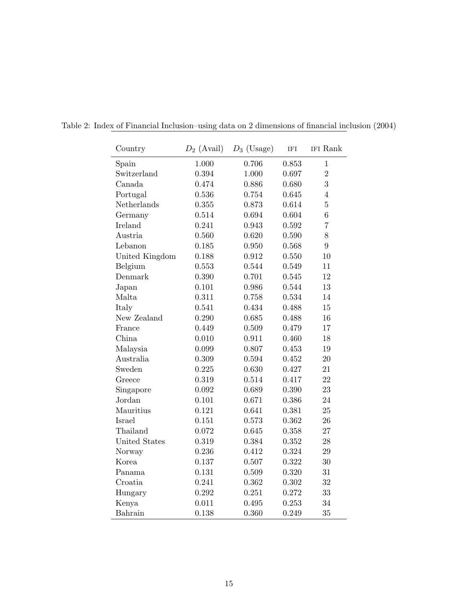| Country        | $D_2$ (Avail) | $D_3$ (Usage) | <b>IFI</b> | IFI Rank        |
|----------------|---------------|---------------|------------|-----------------|
| Spain          | 1.000         | 0.706         | 0.853      | $\mathbf{1}$    |
| Switzerland    | 0.394         | 1.000         | 0.697      | $\overline{2}$  |
| Canada         | 0.474         | 0.886         | 0.680      | 3               |
| Portugal       | 0.536         | 0.754         | 0.645      | $\overline{4}$  |
| Netherlands    | 0.355         | 0.873         | 0.614      | $\overline{5}$  |
| Germany        | 0.514         | 0.694         | 0.604      | $6\phantom{.}6$ |
| Ireland        | 0.241         | 0.943         | 0.592      | 7               |
| Austria        | 0.560         | 0.620         | 0.590      | 8               |
| Lebanon        | 0.185         | 0.950         | 0.568      | 9               |
| United Kingdom | 0.188         | 0.912         | 0.550      | 10              |
| Belgium        | 0.553         | 0.544         | 0.549      | 11              |
| Denmark        | 0.390         | 0.701         | 0.545      | 12              |
| Japan          | 0.101         | 0.986         | 0.544      | 13              |
| Malta          | 0.311         | 0.758         | 0.534      | 14              |
| Italy          | 0.541         | 0.434         | 0.488      | 15              |
| New Zealand    | 0.290         | 0.685         | 0.488      | 16              |
| France         | 0.449         | 0.509         | 0.479      | 17              |
| China          | 0.010         | 0.911         | 0.460      | 18              |
| Malaysia       | 0.099         | 0.807         | 0.453      | 19              |
| Australia      | 0.309         | 0.594         | 0.452      | $20\,$          |
| Sweden         | 0.225         | 0.630         | 0.427      | 21              |
| Greece         | 0.319         | 0.514         | 0.417      | 22              |
| Singapore      | 0.092         | 0.689         | 0.390      | 23              |
| Jordan         | 0.101         | 0.671         | 0.386      | 24              |
| Mauritius      | 0.121         | 0.641         | 0.381      | 25              |
| Israel         | 0.151         | 0.573         | 0.362      | 26              |
| Thailand       | 0.072         | 0.645         | 0.358      | $27\,$          |
| United States  | 0.319         | 0.384         | 0.352      | $28\,$          |
| Norway         | 0.236         | 0.412         | 0.324      | $\,29$          |
| Korea          | 0.137         | 0.507         | 0.322      | $30\,$          |
| Panama         | 0.131         | 0.509         | 0.320      | 31              |
| Croatia        | 0.241         | 0.362         | 0.302      | $32\,$          |
| Hungary        | 0.292         | 0.251         | 0.272      | 33              |
| Kenya          | 0.011         | 0.495         | 0.253      | 34              |
| Bahrain        | 0.138         | 0.360         | 0.249      | 35              |

Table 2: Index of Financial Inclusion–using data on 2 dimensions of financial inclusion (2004)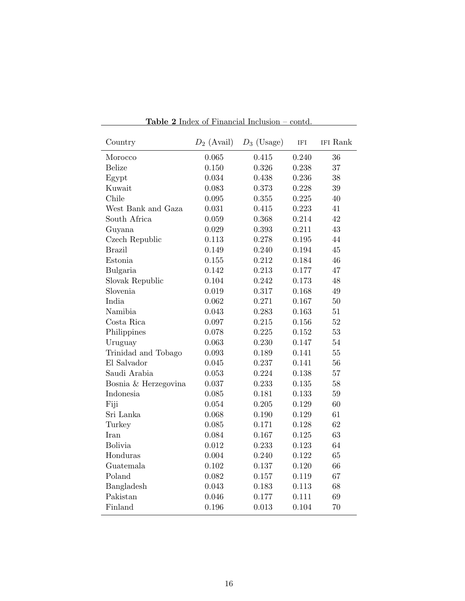| Country              | $D_2$ (Avail) | $D_3$ (Usage) | <b>IFI</b> | IFI Rank |
|----------------------|---------------|---------------|------------|----------|
| Morocco              | 0.065         | 0.415         | 0.240      | 36       |
| <b>Belize</b>        | 0.150         | 0.326         | 0.238      | 37       |
| Egypt                | 0.034         | 0.438         | 0.236      | 38       |
| Kuwait               | 0.083         | 0.373         | 0.228      | 39       |
| Chile                | 0.095         | 0.355         | 0.225      | 40       |
| West Bank and Gaza   | 0.031         | 0.415         | 0.223      | 41       |
| South Africa         | 0.059         | 0.368         | 0.214      | 42       |
| Guyana               | 0.029         | 0.393         | 0.211      | 43       |
| Czech Republic       | 0.113         | 0.278         | 0.195      | 44       |
| <b>Brazil</b>        | 0.149         | 0.240         | 0.194      | 45       |
| Estonia              | 0.155         | 0.212         | 0.184      | 46       |
| Bulgaria             | 0.142         | 0.213         | 0.177      | 47       |
| Slovak Republic      | 0.104         | 0.242         | 0.173      | 48       |
| Slovenia             | 0.019         | 0.317         | 0.168      | 49       |
| India.               | 0.062         | 0.271         | 0.167      | 50       |
| Namibia              | 0.043         | 0.283         | 0.163      | 51       |
| Costa Rica           | 0.097         | 0.215         | 0.156      | 52       |
| Philippines          | 0.078         | 0.225         | 0.152      | 53       |
| Uruguay              | 0.063         | 0.230         | 0.147      | 54       |
| Trinidad and Tobago  | 0.093         | 0.189         | 0.141      | 55       |
| El Salvador          | 0.045         | 0.237         | 0.141      | 56       |
| Saudi Arabia         | 0.053         | 0.224         | 0.138      | 57       |
| Bosnia & Herzegovina | 0.037         | 0.233         | 0.135      | 58       |
| Indonesia            | 0.085         | 0.181         | 0.133      | 59       |
| Fiji                 | 0.054         | 0.205         | 0.129      | 60       |
| Sri Lanka            | 0.068         | 0.190         | 0.129      | 61       |
| Turkey               | 0.085         | 0.171         | 0.128      | 62       |
| <b>I</b> ran         | 0.084         | 0.167         | 0.125      | 63       |
| Bolivia              | 0.012         | 0.233         | 0.123      | 64       |
| Honduras             | 0.004         | 0.240         | 0.122      | 65       |
| Guatemala            | 0.102         | 0.137         | 0.120      | 66       |
| Poland               | 0.082         | 0.157         | 0.119      | 67       |
| Bangladesh           | 0.043         | 0.183         | 0.113      | 68       |
| Pakistan             | 0.046         | 0.177         | 0.111      | 69       |
| Finland              | 0.196         | 0.013         | 0.104      | 70       |

Table 2 Index of Financial Inclusion – contd.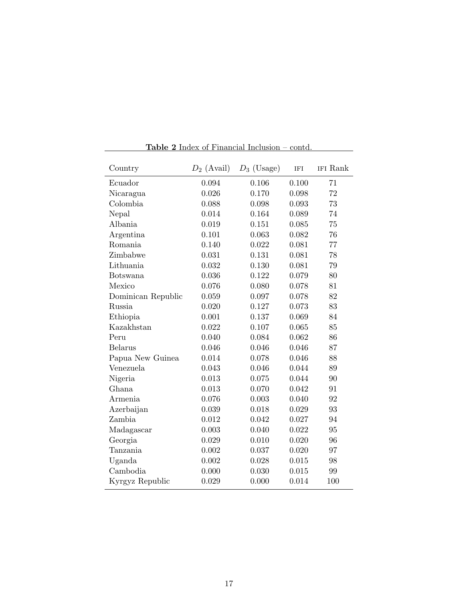| Country            | $D_2$ (Avail) | $D_3$ (Usage) | IFI   | IFI Rank |
|--------------------|---------------|---------------|-------|----------|
| Ecuador            | 0.094         | 0.106         | 0.100 | 71       |
| Nicaragua          | 0.026         | 0.170         | 0.098 | 72       |
| Colombia           | 0.088         | 0.098         | 0.093 | 73       |
| Nepal              | 0.014         | 0.164         | 0.089 | 74       |
| Albania            | 0.019         | 0.151         | 0.085 | 75       |
| Argentina          | 0.101         | 0.063         | 0.082 | 76       |
| Romania            | 0.140         | 0.022         | 0.081 | 77       |
| Zimbabwe           | 0.031         | 0.131         | 0.081 | 78       |
| Lithuania          | 0.032         | 0.130         | 0.081 | 79       |
| <b>Botswana</b>    | 0.036         | 0.122         | 0.079 | 80       |
| Mexico             | 0.076         | 0.080         | 0.078 | 81       |
| Dominican Republic | 0.059         | 0.097         | 0.078 | 82       |
| Russia             | 0.020         | 0.127         | 0.073 | 83       |
| Ethiopia           | 0.001         | 0.137         | 0.069 | 84       |
| Kazakhstan         | 0.022         | 0.107         | 0.065 | 85       |
| Peru               | 0.040         | 0.084         | 0.062 | 86       |
| <b>Belarus</b>     | 0.046         | 0.046         | 0.046 | 87       |
| Papua New Guinea   | 0.014         | 0.078         | 0.046 | 88       |
| Venezuela          | 0.043         | 0.046         | 0.044 | 89       |
| Nigeria            | 0.013         | 0.075         | 0.044 | 90       |
| Ghana              | 0.013         | 0.070         | 0.042 | 91       |
| Armenia            | 0.076         | 0.003         | 0.040 | 92       |
| Azerbaijan         | 0.039         | 0.018         | 0.029 | 93       |
| Zambia             | 0.012         | 0.042         | 0.027 | 94       |
| Madagascar         | 0.003         | 0.040         | 0.022 | 95       |
| Georgia            | 0.029         | 0.010         | 0.020 | 96       |
| Tanzania           | 0.002         | 0.037         | 0.020 | 97       |
| Uganda             | 0.002         | 0.028         | 0.015 | 98       |
| Cambodia           | 0.000         | 0.030         | 0.015 | 99       |
| Kyrgyz Republic    | 0.029         | 0.000         | 0.014 | 100      |

Table 2 Index of Financial Inclusion – contd.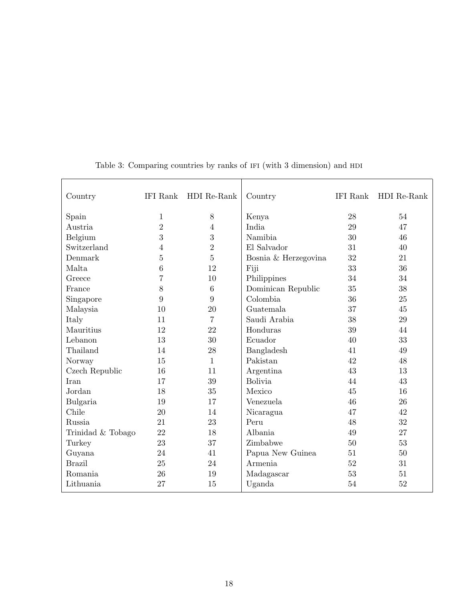| Country           | IFI Rank       | HDI Re-Rank      | Country              | IFI Rank | HDI Re-Rank |
|-------------------|----------------|------------------|----------------------|----------|-------------|
| Spain             | 1              | 8                | Kenya                | 28       | 54          |
| Austria           | $\overline{2}$ | $\overline{4}$   | India                | 29       | 47          |
| Belgium           | 3              | $\boldsymbol{3}$ | Namibia              | 30       | 46          |
| Switzerland       | 4              | $\overline{2}$   | El Salvador          | 31       | 40          |
| Denmark           | $\overline{5}$ | $\overline{5}$   | Bosnia & Herzegovina | 32       | 21          |
| Malta             | 6              | 12               | Fiji                 | 33       | 36          |
| Greece            | $\overline{7}$ | 10               | Philippines          | 34       | 34          |
| France            | 8              | $\,6\,$          | Dominican Republic   | 35       | 38          |
| Singapore         | 9              | 9                | Colombia             | 36       | 25          |
| Malaysia          | 10             | 20               | Guatemala            | 37       | 45          |
| Italy             | 11             | $\overline{7}$   | Saudi Arabia         | 38       | 29          |
| Mauritius         | 12             | 22               | Honduras             | 39       | 44          |
| Lebanon           | 13             | 30               | Ecuador              | 40       | 33          |
| Thailand          | 14             | 28               | Bangladesh           | 41       | 49          |
| Norway            | 15             | 1                | Pakistan             | 42       | 48          |
| Czech Republic    | 16             | 11               | Argentina            | 43       | 13          |
| Iran              | 17             | 39               | <b>Bolivia</b>       | 44       | 43          |
| Jordan            | 18             | 35               | Mexico               | 45       | 16          |
| Bulgaria          | 19             | 17               | Venezuela            | 46       | 26          |
| Chile             | 20             | 14               | Nicaragua            | 47       | 42          |
| Russia            | 21             | 23               | Peru                 | 48       | 32          |
| Trinidad & Tobago | 22             | 18               | Albania              | 49       | 27          |
| Turkey            | 23             | 37               | Zimbabwe             | 50       | 53          |
| Guyana            | 24             | 41               | Papua New Guinea     | 51       | 50          |
| <b>Brazil</b>     | 25             | 24               | Armenia              | 52       | 31          |
| Romania           | 26             | 19               | Madagascar           | 53       | 51          |
| Lithuania         | 27             | 15               | Uganda               | 54       | 52          |

Table 3: Comparing countries by ranks of IFI (with 3 dimension) and HDI